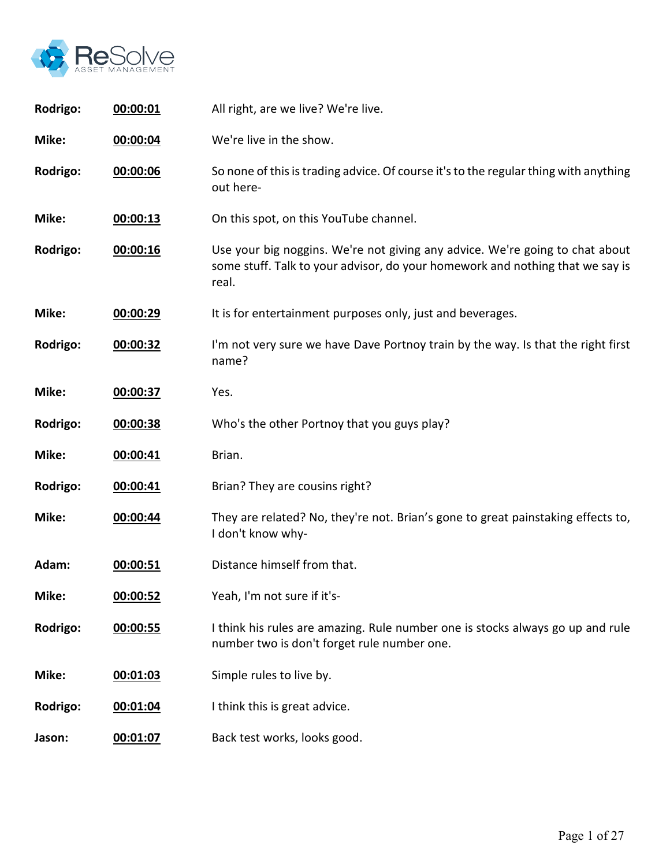

| Rodrigo: | 00:00:01 | All right, are we live? We're live.                                                                                                                                    |
|----------|----------|------------------------------------------------------------------------------------------------------------------------------------------------------------------------|
| Mike:    | 00:00:04 | We're live in the show.                                                                                                                                                |
| Rodrigo: | 00:00:06 | So none of this is trading advice. Of course it's to the regular thing with anything<br>out here-                                                                      |
| Mike:    | 00:00:13 | On this spot, on this YouTube channel.                                                                                                                                 |
| Rodrigo: | 00:00:16 | Use your big noggins. We're not giving any advice. We're going to chat about<br>some stuff. Talk to your advisor, do your homework and nothing that we say is<br>real. |
| Mike:    | 00:00:29 | It is for entertainment purposes only, just and beverages.                                                                                                             |
| Rodrigo: | 00:00:32 | I'm not very sure we have Dave Portnoy train by the way. Is that the right first<br>name?                                                                              |
| Mike:    | 00:00:37 | Yes.                                                                                                                                                                   |
| Rodrigo: | 00:00:38 | Who's the other Portnoy that you guys play?                                                                                                                            |
| Mike:    | 00:00:41 | Brian.                                                                                                                                                                 |
| Rodrigo: | 00:00:41 | Brian? They are cousins right?                                                                                                                                         |
| Mike:    | 00:00:44 | They are related? No, they're not. Brian's gone to great painstaking effects to,<br>I don't know why-                                                                  |
| Adam:    | 00:00:51 | Distance himself from that.                                                                                                                                            |
| Mike:    | 00:00:52 | Yeah, I'm not sure if it's-                                                                                                                                            |
| Rodrigo: | 00:00:55 | I think his rules are amazing. Rule number one is stocks always go up and rule<br>number two is don't forget rule number one.                                          |
| Mike:    | 00:01:03 | Simple rules to live by.                                                                                                                                               |
| Rodrigo: | 00:01:04 | I think this is great advice.                                                                                                                                          |
| Jason:   | 00:01:07 | Back test works, looks good.                                                                                                                                           |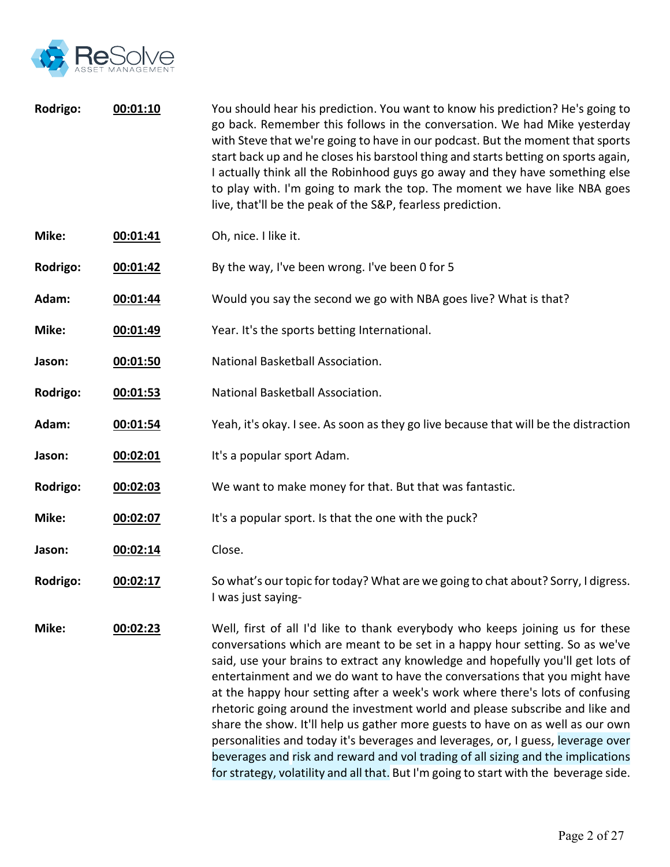

| Rodrigo: | 00:01:10 | You should hear his prediction. You want to know his prediction? He's going to<br>go back. Remember this follows in the conversation. We had Mike yesterday<br>with Steve that we're going to have in our podcast. But the moment that sports<br>start back up and he closes his barstool thing and starts betting on sports again,<br>I actually think all the Robinhood guys go away and they have something else<br>to play with. I'm going to mark the top. The moment we have like NBA goes |
|----------|----------|--------------------------------------------------------------------------------------------------------------------------------------------------------------------------------------------------------------------------------------------------------------------------------------------------------------------------------------------------------------------------------------------------------------------------------------------------------------------------------------------------|
|          |          | live, that'll be the peak of the S&P, fearless prediction.                                                                                                                                                                                                                                                                                                                                                                                                                                       |

- **Mike: 00:01:41** Oh, nice. I like it.
- **Rodrigo: 00:01:42** By the way, I've been wrong. I've been 0 for 5
- **Adam: 00:01:44** Would you say the second we go with NBA goes live? What is that?
- **Mike: 00:01:49** Year. It's the sports betting International.
- **Jason: 00:01:50** National Basketball Association.
- **Rodrigo: 00:01:53** National Basketball Association.
- **Adam: 00:01:54** Yeah, it's okay. I see. As soon as they go live because that will be the distraction
- **Jason: 00:02:01** It's a popular sport Adam.
- **Rodrigo: 00:02:03** We want to make money for that. But that was fantastic.
- **Mike: 00:02:07** It's a popular sport. Is that the one with the puck?
- **Jason: 00:02:14** Close.
- **Rodrigo: 00:02:17** So what's our topic for today? What are we going to chat about? Sorry, I digress. I was just saying-

**Mike: 00:02:23** Well, first of all I'd like to thank everybody who keeps joining us for these conversations which are meant to be set in a happy hour setting. So as we've said, use your brains to extract any knowledge and hopefully you'll get lots of entertainment and we do want to have the conversations that you might have at the happy hour setting after a week's work where there's lots of confusing rhetoric going around the investment world and please subscribe and like and share the show. It'll help us gather more guests to have on as well as our own personalities and today it's beverages and leverages, or, I guess, leverage over beverages and risk and reward and vol trading of all sizing and the implications for strategy, volatility and all that. But I'm going to start with the beverage side.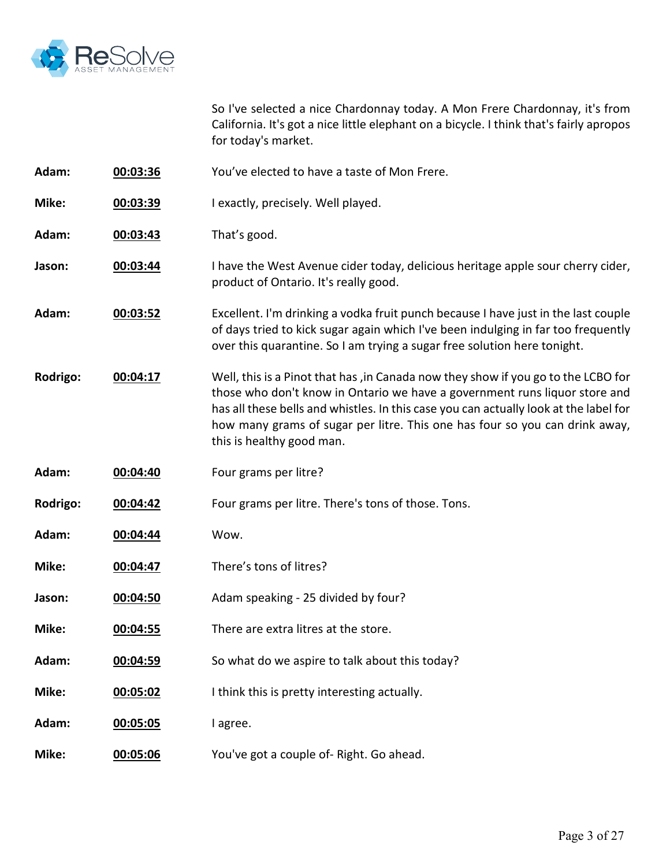

So I've selected a nice Chardonnay today. A Mon Frere Chardonnay, it's from California. It's got a nice little elephant on a bicycle. I think that's fairly apropos for today's market.

- **Adam: 00:03:36** You've elected to have a taste of Mon Frere.
- **Mike: 00:03:39** I exactly, precisely. Well played.
- **Adam: 00:03:43** That's good.
- **Jason: <b>00:03:44** I have the West Avenue cider today, delicious heritage apple sour cherry cider, product of Ontario. It's really good.
- **Adam: 00:03:52** Excellent. I'm drinking a vodka fruit punch because I have just in the last couple of days tried to kick sugar again which I've been indulging in far too frequently over this quarantine. So I am trying a sugar free solution here tonight.
- **Rodrigo: 00:04:17** Well, this is a Pinot that has ,in Canada now they show if you go to the LCBO for those who don't know in Ontario we have a government runs liquor store and has all these bells and whistles. In this case you can actually look at the label for how many grams of sugar per litre. This one has four so you can drink away, this is healthy good man.
- **Adam: 00:04:40** Four grams per litre?
- **Rodrigo: 00:04:42** Four grams per litre. There's tons of those. Tons.
- **Adam: 00:04:44** Wow.
- **Mike: 00:04:47** There's tons of litres?
- **Jason: 00:04:50** Adam speaking 25 divided by four?
- **Mike: 00:04:55** There are extra litres at the store.
- **Adam: 00:04:59** So what do we aspire to talk about this today?
- **Mike: 00:05:02** I think this is pretty interesting actually.
- **Adam: 00:05:05** I agree.
- **Mike: 00:05:06** You've got a couple of- Right. Go ahead.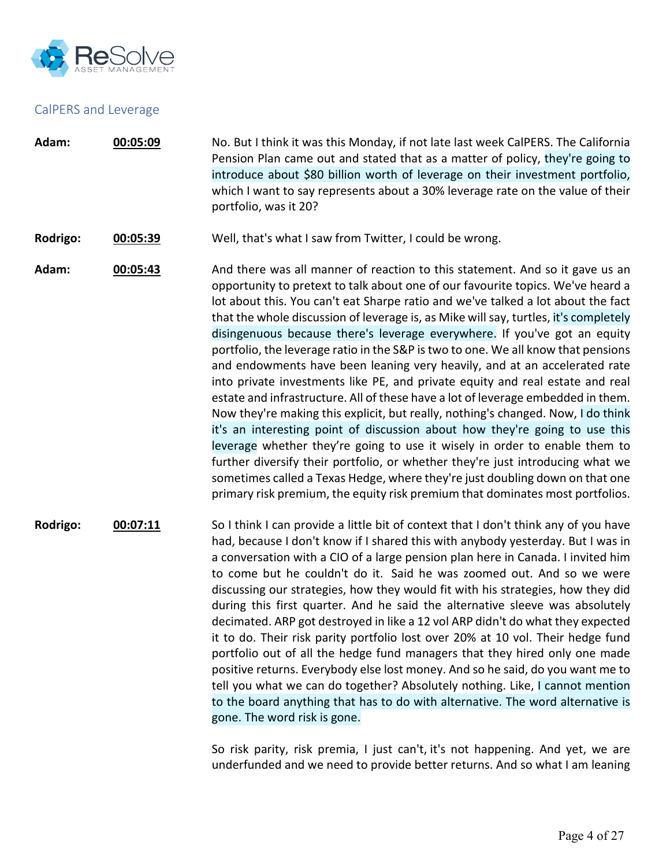

#### CalPERS and Leverage

- **Adam: 00:05:09** No. But I think it was this Monday, if not late last week CalPERS. The California Pension Plan came out and stated that as a matter of policy, they're going to introduce about \$80 billion worth of leverage on their investment portfolio, which I want to say represents about a 30% leverage rate on the value of their portfolio, was it 20?
- **Rodrigo: 00:05:39** Well, that's what I saw from Twitter, I could be wrong.

**Adam: 00:05:43** And there was all manner of reaction to this statement. And so it gave us an opportunity to pretext to talk about one of our favourite topics. We've heard a lot about this. You can't eat Sharpe ratio and we've talked a lot about the fact that the whole discussion of leverage is, as Mike will say, turtles, it's completely disingenuous because there's leverage everywhere. If you've got an equity portfolio, the leverage ratio in the S&P is two to one. We all know that pensions and endowments have been leaning very heavily, and at an accelerated rate into private investments like PE, and private equity and real estate and real estate and infrastructure. All of these have a lot of leverage embedded in them. Now they're making this explicit, but really, nothing's changed. Now, I do think it's an interesting point of discussion about how they're going to use this leverage whether they're going to use it wisely in order to enable them to further diversify their portfolio, or whether they're just introducing what we sometimes called a Texas Hedge, where they're just doubling down on that one primary risk premium, the equity risk premium that dominates most portfolios.

**Rodrigo: 00:07:11** So I think I can provide a little bit of context that I don't think any of you have had, because I don't know if I shared this with anybody yesterday. But I was in a conversation with a CIO of a large pension plan here in Canada. I invited him to come but he couldn't do it. Said he was zoomed out. And so we were discussing our strategies, how they would fit with his strategies, how they did during this first quarter. And he said the alternative sleeve was absolutely decimated. ARP got destroyed in like a 12 vol ARP didn't do what they expected it to do. Their risk parity portfolio lost over 20% at 10 vol. Their hedge fund portfolio out of all the hedge fund managers that they hired only one made positive returns. Everybody else lost money. And so he said, do you want me to tell you what we can do together? Absolutely nothing. Like, I cannot mention to the board anything that has to do with alternative. The word alternative is gone. The word risk is gone.

> So risk parity, risk premia, I just can't, it's not happening. And yet, we are underfunded and we need to provide better returns. And so what I am leaning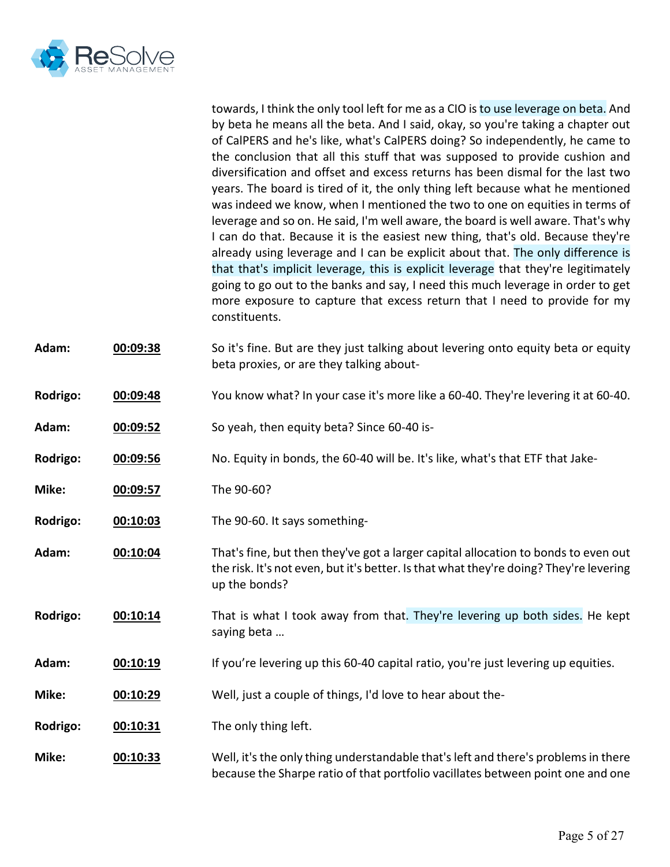

towards, I think the only tool left for me as a CIO is to use leverage on beta. And by beta he means all the beta. And I said, okay, so you're taking a chapter out of CalPERS and he's like, what's CalPERS doing? So independently, he came to the conclusion that all this stuff that was supposed to provide cushion and diversification and offset and excess returns has been dismal for the last two years. The board is tired of it, the only thing left because what he mentioned was indeed we know, when I mentioned the two to one on equities in terms of leverage and so on. He said, I'm well aware, the board is well aware. That's why I can do that. Because it is the easiest new thing, that's old. Because they're already using leverage and I can be explicit about that. The only difference is that that's implicit leverage, this is explicit leverage that they're legitimately going to go out to the banks and say, I need this much leverage in order to get more exposure to capture that excess return that I need to provide for my constituents.

- **Adam: 00:09:38** So it's fine. But are they just talking about levering onto equity beta or equity beta proxies, or are they talking about-
- **Rodrigo: 00:09:48** You know what? In your case it's more like a 60-40. They're levering it at 60-40.
- **Adam: 00:09:52** So yeah, then equity beta? Since 60-40 is-
- **Rodrigo: 00:09:56** No. Equity in bonds, the 60-40 will be. It's like, what's that ETF that Jake-
- **Mike: 00:09:57** The 90-60?
- **Rodrigo: 00:10:03** The 90-60. It says something-
- **Adam: 00:10:04** That's fine, but then they've got a larger capital allocation to bonds to even out the risk. It's not even, but it's better. Is that what they're doing? They're levering up the bonds?
- **Rodrigo: 00:10:14** That is what I took away from that. They're levering up both sides. He kept saying beta …
- Adam: **00:10:19** If you're levering up this 60-40 capital ratio, you're just levering up equities.
- **Mike: 00:10:29** Well, just a couple of things, I'd love to hear about the-

**Rodrigo: 00:10:31** The only thing left.

**Mike: 00:10:33** Well, it's the only thing understandable that's left and there's problems in there because the Sharpe ratio of that portfolio vacillates between point one and one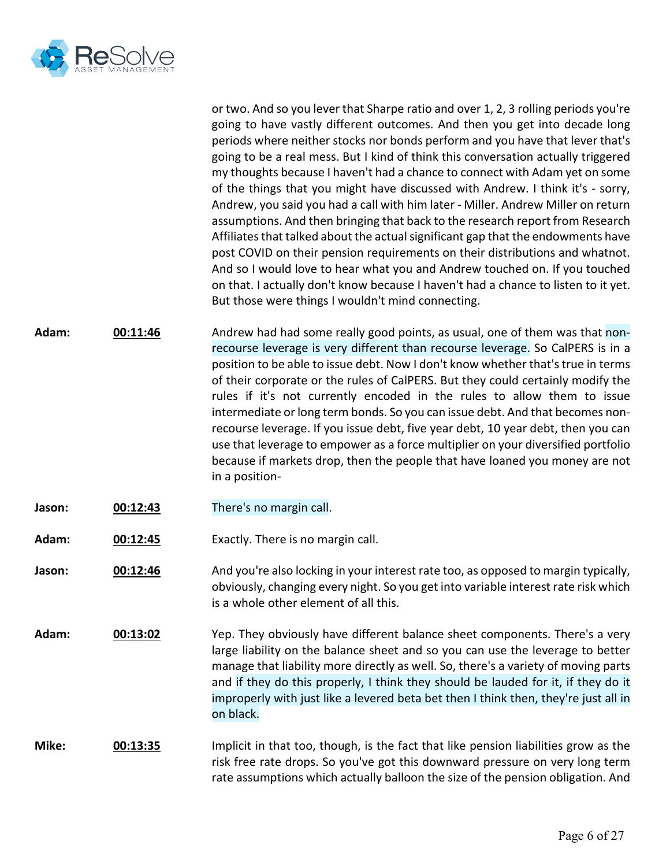

or two. And so you lever that Sharpe ratio and over 1, 2, 3 rolling periods you're going to have vastly different outcomes. And then you get into decade long periods where neither stocks nor bonds perform and you have that lever that's going to be a real mess. But I kind of think this conversation actually triggered my thoughts because I haven't had a chance to connect with Adam yet on some of the things that you might have discussed with Andrew. I think it's - sorry, Andrew, you said you had a call with him later - Miller. Andrew Miller on return assumptions. And then bringing that back to the research report from Research Affiliates that talked about the actual significant gap that the endowments have post COVID on their pension requirements on their distributions and whatnot. And so I would love to hear what you and Andrew touched on. If you touched on that. I actually don't know because I haven't had a chance to listen to it yet. But those were things I wouldn't mind connecting.

**Adam: 00:11:46** Andrew had had some really good points, as usual, one of them was that nonrecourse leverage is very different than recourse leverage. So CalPERS is in a position to be able to issue debt. Now I don't know whether that's true in terms of their corporate or the rules of CalPERS. But they could certainly modify the rules if it's not currently encoded in the rules to allow them to issue intermediate or long term bonds. So you can issue debt. And that becomes nonrecourse leverage. If you issue debt, five year debt, 10 year debt, then you can use that leverage to empower as a force multiplier on your diversified portfolio because if markets drop, then the people that have loaned you money are not in a position-

- **Jason: 00:12:43** There's no margin call.
- **Adam: 00:12:45** Exactly. There is no margin call.
- **Jason: 00:12:46** And you're also locking in your interest rate too, as opposed to margin typically, obviously, changing every night. So you get into variable interest rate risk which is a whole other element of all this.
- **Adam: 00:13:02** Yep. They obviously have different balance sheet components. There's a very large liability on the balance sheet and so you can use the leverage to better manage that liability more directly as well. So, there's a variety of moving parts and if they do this properly, I think they should be lauded for it, if they do it improperly with just like a levered beta bet then I think then, they're just all in on black.

# **Mike: 00:13:35** Implicit in that too, though, is the fact that like pension liabilities grow as the risk free rate drops. So you've got this downward pressure on very long term rate assumptions which actually balloon the size of the pension obligation. And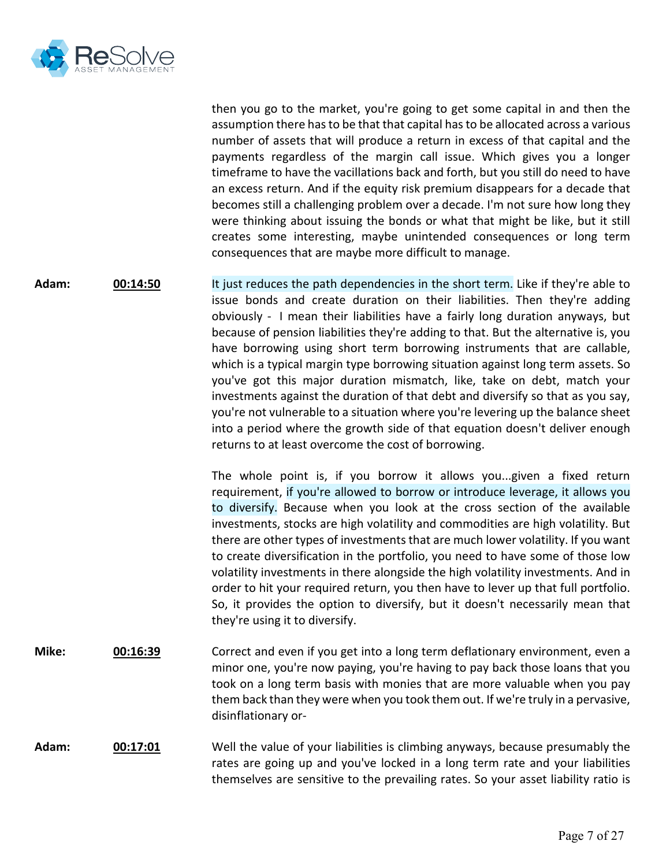

then you go to the market, you're going to get some capital in and then the assumption there has to be that that capital has to be allocated across a various number of assets that will produce a return in excess of that capital and the payments regardless of the margin call issue. Which gives you a longer timeframe to have the vacillations back and forth, but you still do need to have an excess return. And if the equity risk premium disappears for a decade that becomes still a challenging problem over a decade. I'm not sure how long they were thinking about issuing the bonds or what that might be like, but it still creates some interesting, maybe unintended consequences or long term consequences that are maybe more difficult to manage.

**Adam: 00:14:50** It just reduces the path dependencies in the short term. Like if they're able to issue bonds and create duration on their liabilities. Then they're adding obviously - I mean their liabilities have a fairly long duration anyways, but because of pension liabilities they're adding to that. But the alternative is, you have borrowing using short term borrowing instruments that are callable, which is a typical margin type borrowing situation against long term assets. So you've got this major duration mismatch, like, take on debt, match your investments against the duration of that debt and diversify so that as you say, you're not vulnerable to a situation where you're levering up the balance sheet into a period where the growth side of that equation doesn't deliver enough returns to at least overcome the cost of borrowing.

> The whole point is, if you borrow it allows you...given a fixed return requirement, if you're allowed to borrow or introduce leverage, it allows you to diversify. Because when you look at the cross section of the available investments, stocks are high volatility and commodities are high volatility. But there are other types of investments that are much lower volatility. If you want to create diversification in the portfolio, you need to have some of those low volatility investments in there alongside the high volatility investments. And in order to hit your required return, you then have to lever up that full portfolio. So, it provides the option to diversify, but it doesn't necessarily mean that they're using it to diversify.

**Mike: 00:16:39** Correct and even if you get into a long term deflationary environment, even a minor one, you're now paying, you're having to pay back those loans that you took on a long term basis with monies that are more valuable when you pay them back than they were when you took them out. If we're truly in a pervasive, disinflationary or-

## **Adam: 00:17:01** Well the value of your liabilities is climbing anyways, because presumably the rates are going up and you've locked in a long term rate and your liabilities themselves are sensitive to the prevailing rates. So your asset liability ratio is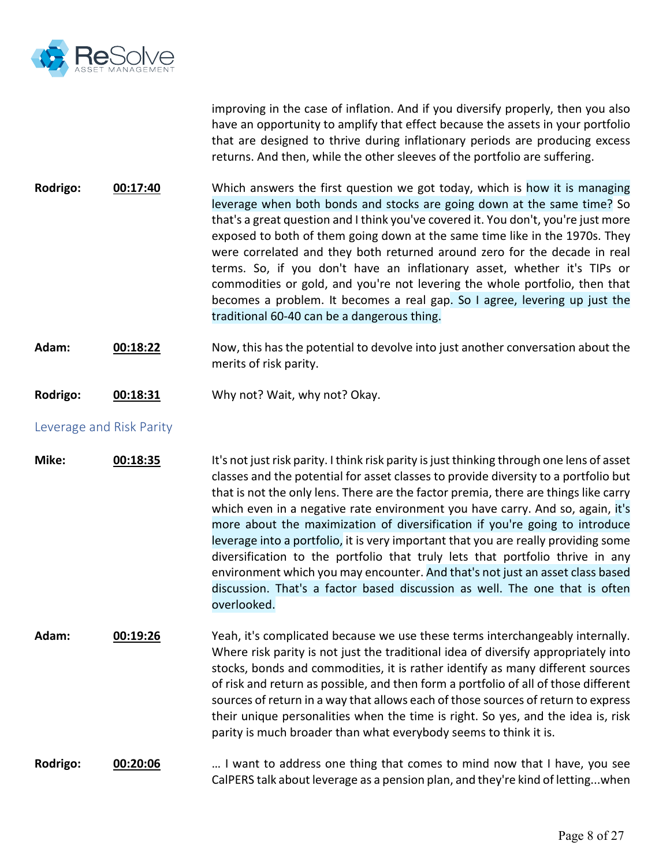

improving in the case of inflation. And if you diversify properly, then you also have an opportunity to amplify that effect because the assets in your portfolio that are designed to thrive during inflationary periods are producing excess returns. And then, while the other sleeves of the portfolio are suffering.

**Rodrigo: 00:17:40** Which answers the first question we got today, which is how it is managing leverage when both bonds and stocks are going down at the same time? So that's a great question and I think you've covered it. You don't, you're just more exposed to both of them going down at the same time like in the 1970s. They were correlated and they both returned around zero for the decade in real terms. So, if you don't have an inflationary asset, whether it's TIPs or commodities or gold, and you're not levering the whole portfolio, then that becomes a problem. It becomes a real gap. So I agree, levering up just the traditional 60-40 can be a dangerous thing.

- **Adam: 00:18:22** Now, this has the potential to devolve into just another conversation about the merits of risk parity.
- **Rodrigo: 00:18:31** Why not? Wait, why not? Okay.

# Leverage and Risk Parity

**Mike: 00:18:35** It's not just risk parity. I think risk parity is just thinking through one lens of asset classes and the potential for asset classes to provide diversity to a portfolio but that is not the only lens. There are the factor premia, there are things like carry which even in a negative rate environment you have carry. And so, again, it's more about the maximization of diversification if you're going to introduce leverage into a portfolio, it is very important that you are really providing some diversification to the portfolio that truly lets that portfolio thrive in any environment which you may encounter. And that's not just an asset class based discussion. That's a factor based discussion as well. The one that is often overlooked.

**Adam: 00:19:26** Yeah, it's complicated because we use these terms interchangeably internally. Where risk parity is not just the traditional idea of diversify appropriately into stocks, bonds and commodities, it is rather identify as many different sources of risk and return as possible, and then form a portfolio of all of those different sources of return in a way that allows each of those sources of return to express their unique personalities when the time is right. So yes, and the idea is, risk parity is much broader than what everybody seems to think it is.

## **Rodrigo: 00:20:06** … I want to address one thing that comes to mind now that I have, you see CalPERS talk about leverage as a pension plan, and they're kind of letting...when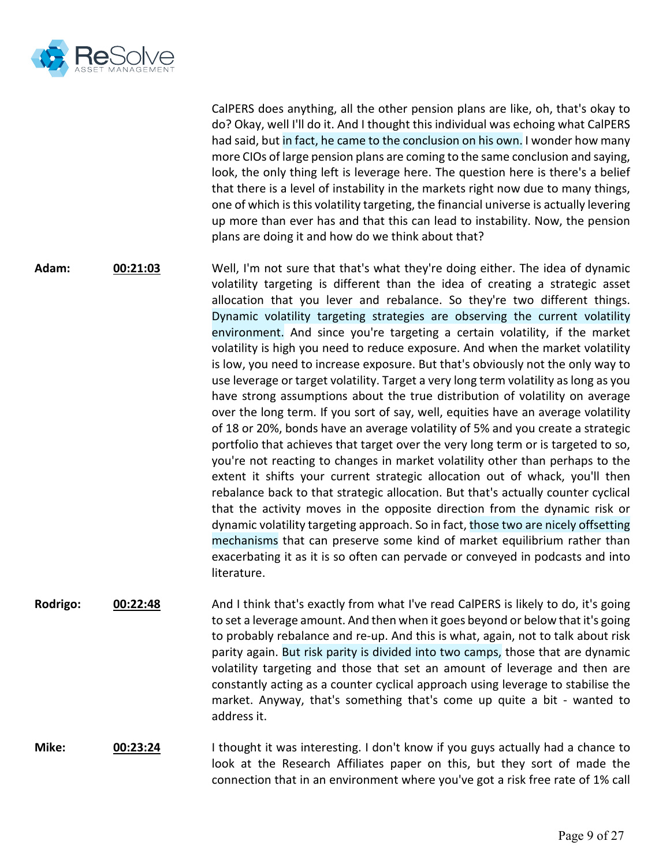

CalPERS does anything, all the other pension plans are like, oh, that's okay to do? Okay, well I'll do it. And I thought this individual was echoing what CalPERS had said, but in fact, he came to the conclusion on his own. I wonder how many more CIOs of large pension plans are coming to the same conclusion and saying, look, the only thing left is leverage here. The question here is there's a belief that there is a level of instability in the markets right now due to many things, one of which is this volatility targeting, the financial universe is actually levering up more than ever has and that this can lead to instability. Now, the pension plans are doing it and how do we think about that?

- **Adam: 00:21:03** Well, I'm not sure that that's what they're doing either. The idea of dynamic volatility targeting is different than the idea of creating a strategic asset allocation that you lever and rebalance. So they're two different things. Dynamic volatility targeting strategies are observing the current volatility environment. And since you're targeting a certain volatility, if the market volatility is high you need to reduce exposure. And when the market volatility is low, you need to increase exposure. But that's obviously not the only way to use leverage or target volatility. Target a very long term volatility as long as you have strong assumptions about the true distribution of volatility on average over the long term. If you sort of say, well, equities have an average volatility of 18 or 20%, bonds have an average volatility of 5% and you create a strategic portfolio that achieves that target over the very long term or is targeted to so, you're not reacting to changes in market volatility other than perhaps to the extent it shifts your current strategic allocation out of whack, you'll then rebalance back to that strategic allocation. But that's actually counter cyclical that the activity moves in the opposite direction from the dynamic risk or dynamic volatility targeting approach. So in fact, those two are nicely offsetting mechanisms that can preserve some kind of market equilibrium rather than exacerbating it as it is so often can pervade or conveyed in podcasts and into literature.
- **Rodrigo: 00:22:48** And I think that's exactly from what I've read CalPERS is likely to do, it's going to set a leverage amount. And then when it goes beyond or below that it's going to probably rebalance and re-up. And this is what, again, not to talk about risk parity again. But risk parity is divided into two camps, those that are dynamic volatility targeting and those that set an amount of leverage and then are constantly acting as a counter cyclical approach using leverage to stabilise the market. Anyway, that's something that's come up quite a bit - wanted to address it.
- **Mike: 00:23:24** I thought it was interesting. I don't know if you guys actually had a chance to look at the Research Affiliates paper on this, but they sort of made the connection that in an environment where you've got a risk free rate of 1% call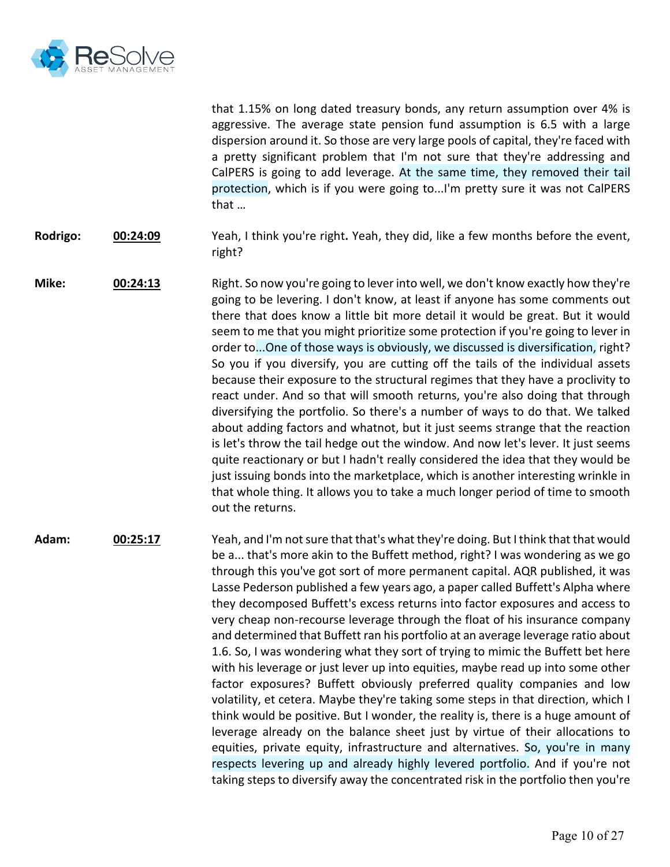

that 1.15% on long dated treasury bonds, any return assumption over 4% is aggressive. The average state pension fund assumption is 6.5 with a large dispersion around it. So those are very large pools of capital, they're faced with a pretty significant problem that I'm not sure that they're addressing and CalPERS is going to add leverage. At the same time, they removed their tail protection, which is if you were going to...I'm pretty sure it was not CalPERS that …

- **Rodrigo: 00:24:09** Yeah, I think you're right**.** Yeah, they did, like a few months before the event, right?
- **Mike: 00:24:13** Right. So now you're going to lever into well, we don't know exactly how they're going to be levering. I don't know, at least if anyone has some comments out there that does know a little bit more detail it would be great. But it would seem to me that you might prioritize some protection if you're going to lever in order to...One of those ways is obviously, we discussed is diversification, right? So you if you diversify, you are cutting off the tails of the individual assets because their exposure to the structural regimes that they have a proclivity to react under. And so that will smooth returns, you're also doing that through diversifying the portfolio. So there's a number of ways to do that. We talked about adding factors and whatnot, but it just seems strange that the reaction is let's throw the tail hedge out the window. And now let's lever. It just seems quite reactionary or but I hadn't really considered the idea that they would be just issuing bonds into the marketplace, which is another interesting wrinkle in that whole thing. It allows you to take a much longer period of time to smooth out the returns.
- **Adam: 00:25:17** Yeah, and I'm not sure that that's what they're doing. But I think that that would be a... that's more akin to the Buffett method, right? I was wondering as we go through this you've got sort of more permanent capital. AQR published, it was Lasse Pederson published a few years ago, a paper called Buffett's Alpha where they decomposed Buffett's excess returns into factor exposures and access to very cheap non-recourse leverage through the float of his insurance company and determined that Buffett ran his portfolio at an average leverage ratio about 1.6. So, I was wondering what they sort of trying to mimic the Buffett bet here with his leverage or just lever up into equities, maybe read up into some other factor exposures? Buffett obviously preferred quality companies and low volatility, et cetera. Maybe they're taking some steps in that direction, which I think would be positive. But I wonder, the reality is, there is a huge amount of leverage already on the balance sheet just by virtue of their allocations to equities, private equity, infrastructure and alternatives. So, you're in many respects levering up and already highly levered portfolio. And if you're not taking steps to diversify away the concentrated risk in the portfolio then you're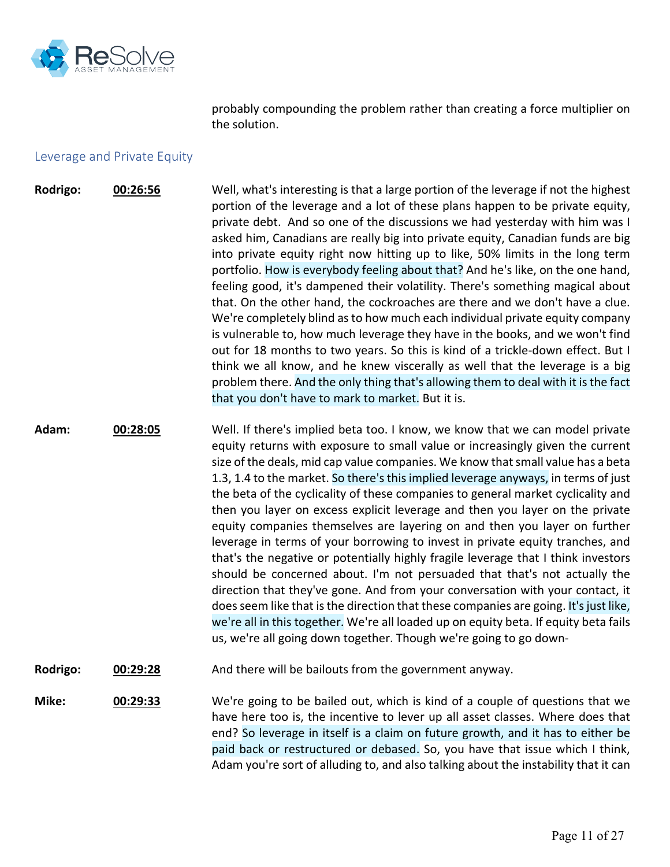

probably compounding the problem rather than creating a force multiplier on the solution.

### Leverage and Private Equity

- **Rodrigo: 00:26:56** Well, what's interesting is that a large portion of the leverage if not the highest portion of the leverage and a lot of these plans happen to be private equity, private debt. And so one of the discussions we had yesterday with him was I asked him, Canadians are really big into private equity, Canadian funds are big into private equity right now hitting up to like, 50% limits in the long term portfolio. How is everybody feeling about that? And he's like, on the one hand, feeling good, it's dampened their volatility. There's something magical about that. On the other hand, the cockroaches are there and we don't have a clue. We're completely blind as to how much each individual private equity company is vulnerable to, how much leverage they have in the books, and we won't find out for 18 months to two years. So this is kind of a trickle-down effect. But I think we all know, and he knew viscerally as well that the leverage is a big problem there. And the only thing that's allowing them to deal with it is the fact that you don't have to mark to market. But it is.
- **Adam: 00:28:05** Well. If there's implied beta too. I know, we know that we can model private equity returns with exposure to small value or increasingly given the current size of the deals, mid cap value companies. We know that small value has a beta 1.3, 1.4 to the market. So there's this implied leverage anyways, in terms of just the beta of the cyclicality of these companies to general market cyclicality and then you layer on excess explicit leverage and then you layer on the private equity companies themselves are layering on and then you layer on further leverage in terms of your borrowing to invest in private equity tranches, and that's the negative or potentially highly fragile leverage that I think investors should be concerned about. I'm not persuaded that that's not actually the direction that they've gone. And from your conversation with your contact, it does seem like that is the direction that these companies are going. It'sjust like, we're all in this together. We're all loaded up on equity beta. If equity beta fails us, we're all going down together. Though we're going to go down-
- **Rodrigo: 00:29:28** And there will be bailouts from the government anyway.

**Mike: 00:29:33** We're going to be bailed out, which is kind of a couple of questions that we have here too is, the incentive to lever up all asset classes. Where does that end? So leverage in itself is a claim on future growth, and it has to either be paid back or restructured or debased. So, you have that issue which I think, Adam you're sort of alluding to, and also talking about the instability that it can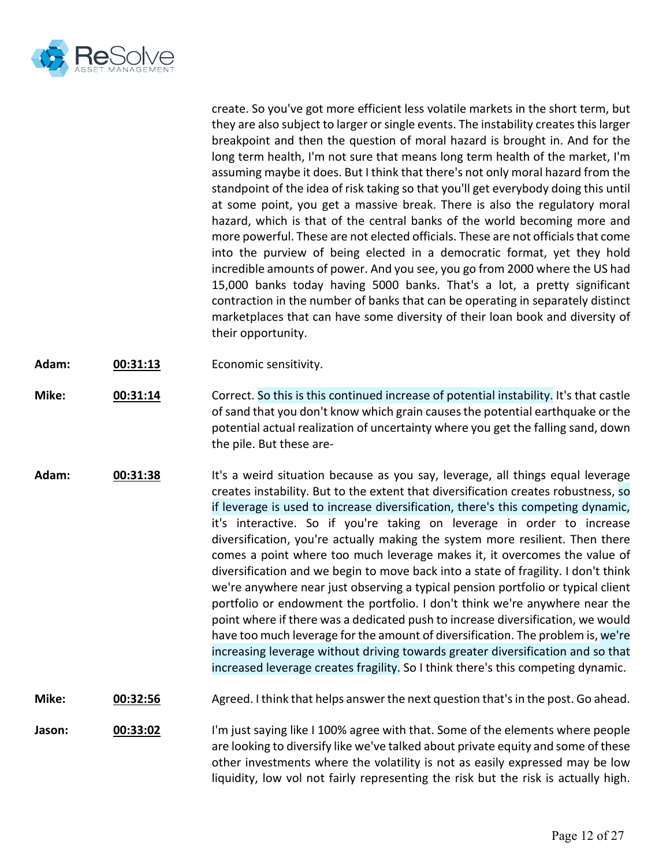

create. So you've got more efficient less volatile markets in the short term, but they are also subject to larger or single events. The instability creates this larger breakpoint and then the question of moral hazard is brought in. And for the long term health, I'm not sure that means long term health of the market, I'm assuming maybe it does. But I think that there's not only moral hazard from the standpoint of the idea of risk taking so that you'll get everybody doing this until at some point, you get a massive break. There is also the regulatory moral hazard, which is that of the central banks of the world becoming more and more powerful. These are not elected officials. These are not officials that come into the purview of being elected in a democratic format, yet they hold incredible amounts of power. And you see, you go from 2000 where the US had 15,000 banks today having 5000 banks. That's a lot, a pretty significant contraction in the number of banks that can be operating in separately distinct marketplaces that can have some diversity of their loan book and diversity of their opportunity.

- **Adam: 00:31:13** Economic sensitivity.
- **Mike: 00:31:14** Correct. So this is this continued increase of potential instability. It's that castle of sand that you don't know which grain causes the potential earthquake or the potential actual realization of uncertainty where you get the falling sand, down the pile. But these are-
- **Adam: 00:31:38** It's a weird situation because as you say, leverage, all things equal leverage creates instability. But to the extent that diversification creates robustness, so if leverage is used to increase diversification, there's this competing dynamic, it's interactive. So if you're taking on leverage in order to increase diversification, you're actually making the system more resilient. Then there comes a point where too much leverage makes it, it overcomes the value of diversification and we begin to move back into a state of fragility. I don't think we're anywhere near just observing a typical pension portfolio or typical client portfolio or endowment the portfolio. I don't think we're anywhere near the point where if there was a dedicated push to increase diversification, we would have too much leverage for the amount of diversification. The problem is, we're increasing leverage without driving towards greater diversification and so that increased leverage creates fragility. So I think there's this competing dynamic.
- **Mike: 00:32:56** Agreed. I think that helps answer the next question that's in the post. Go ahead.

**Jason: <b>00:33:02** I'm just saying like I 100% agree with that. Some of the elements where people are looking to diversify like we've talked about private equity and some of these other investments where the volatility is not as easily expressed may be low liquidity, low vol not fairly representing the risk but the risk is actually high.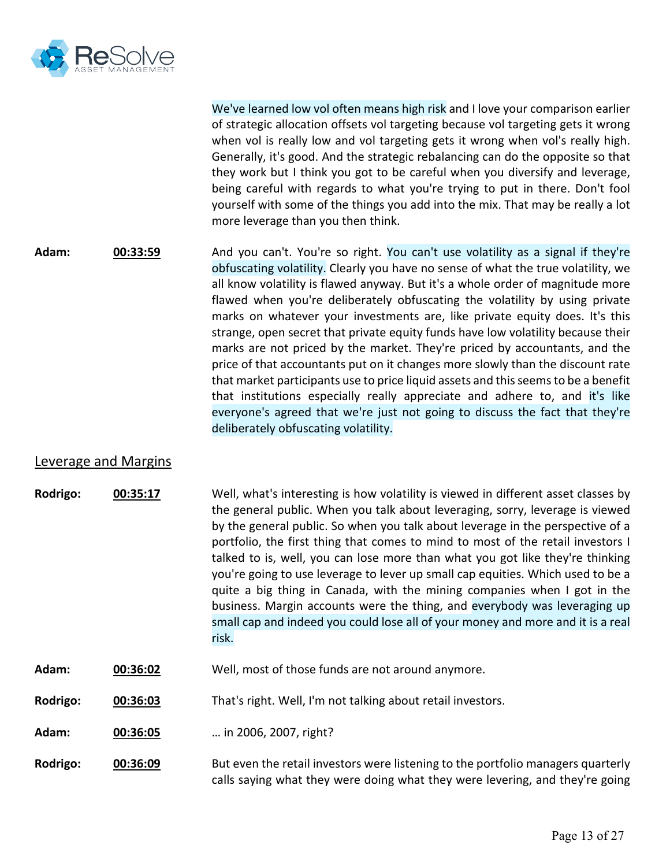

We've learned low vol often means high risk and I love your comparison earlier of strategic allocation offsets vol targeting because vol targeting gets it wrong when vol is really low and vol targeting gets it wrong when vol's really high. Generally, it's good. And the strategic rebalancing can do the opposite so that they work but I think you got to be careful when you diversify and leverage, being careful with regards to what you're trying to put in there. Don't fool yourself with some of the things you add into the mix. That may be really a lot more leverage than you then think.

**Adam: 00:33:59** And you can't. You're so right. You can't use volatility as a signal if they're obfuscating volatility. Clearly you have no sense of what the true volatility, we all know volatility is flawed anyway. But it's a whole order of magnitude more flawed when you're deliberately obfuscating the volatility by using private marks on whatever your investments are, like private equity does. It's this strange, open secret that private equity funds have low volatility because their marks are not priced by the market. They're priced by accountants, and the price of that accountants put on it changes more slowly than the discount rate that market participants use to price liquid assets and this seems to be a benefit that institutions especially really appreciate and adhere to, and it's like everyone's agreed that we're just not going to discuss the fact that they're deliberately obfuscating volatility.

## Leverage and Margins

- **Rodrigo: 00:35:17** Well, what's interesting is how volatility is viewed in different asset classes by the general public. When you talk about leveraging, sorry, leverage is viewed by the general public. So when you talk about leverage in the perspective of a portfolio, the first thing that comes to mind to most of the retail investors I talked to is, well, you can lose more than what you got like they're thinking you're going to use leverage to lever up small cap equities. Which used to be a quite a big thing in Canada, with the mining companies when I got in the business. Margin accounts were the thing, and everybody was leveraging up small cap and indeed you could lose all of your money and more and it is a real risk.
- **Adam: 00:36:02** Well, most of those funds are not around anymore.
- **Rodrigo: 00:36:03** That's right. Well, I'm not talking about retail investors.
- **Adam: 00:36:05** … in 2006, 2007, right?
- **Rodrigo: 00:36:09** But even the retail investors were listening to the portfolio managers quarterly calls saying what they were doing what they were levering, and they're going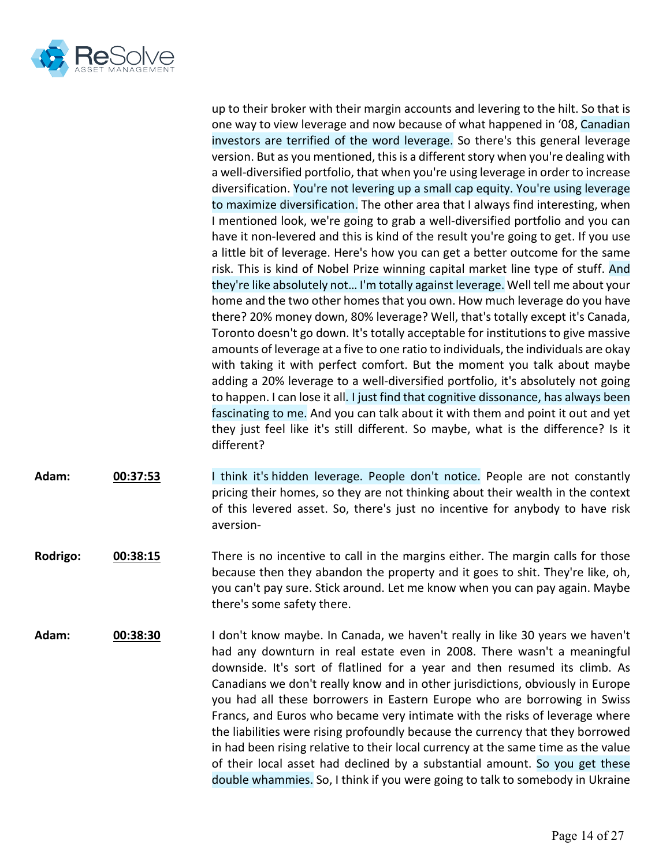

up to their broker with their margin accounts and levering to the hilt. So that is one way to view leverage and now because of what happened in '08, Canadian investors are terrified of the word leverage. So there's this general leverage version. But as you mentioned, this is a different story when you're dealing with a well-diversified portfolio, that when you're using leverage in order to increase diversification. You're not levering up a small cap equity. You're using leverage to maximize diversification. The other area that I always find interesting, when I mentioned look, we're going to grab a well-diversified portfolio and you can have it non-levered and this is kind of the result you're going to get. If you use a little bit of leverage. Here's how you can get a better outcome for the same risk. This is kind of Nobel Prize winning capital market line type of stuff. And they're like absolutely not… I'm totally against leverage. Well tell me about your home and the two other homes that you own. How much leverage do you have there? 20% money down, 80% leverage? Well, that's totally except it's Canada, Toronto doesn't go down. It's totally acceptable for institutions to give massive amounts of leverage at a five to one ratio to individuals, the individuals are okay with taking it with perfect comfort. But the moment you talk about maybe adding a 20% leverage to a well-diversified portfolio, it's absolutely not going to happen. I can lose it all. I just find that cognitive dissonance, has always been fascinating to me. And you can talk about it with them and point it out and yet they just feel like it's still different. So maybe, what is the difference? Is it different?

- **Adam: 00:37:53** I think it's hidden leverage. People don't notice. People are not constantly pricing their homes, so they are not thinking about their wealth in the context of this levered asset. So, there's just no incentive for anybody to have risk aversion-
- **Rodrigo: 00:38:15** There is no incentive to call in the margins either. The margin calls for those because then they abandon the property and it goes to shit. They're like, oh, you can't pay sure. Stick around. Let me know when you can pay again. Maybe there's some safety there.
- **Adam: 00:38:30** I don't know maybe. In Canada, we haven't really in like 30 years we haven't had any downturn in real estate even in 2008. There wasn't a meaningful downside. It's sort of flatlined for a year and then resumed its climb. As Canadians we don't really know and in other jurisdictions, obviously in Europe you had all these borrowers in Eastern Europe who are borrowing in Swiss Francs, and Euros who became very intimate with the risks of leverage where the liabilities were rising profoundly because the currency that they borrowed in had been rising relative to their local currency at the same time as the value of their local asset had declined by a substantial amount. So you get these double whammies. So, I think if you were going to talk to somebody in Ukraine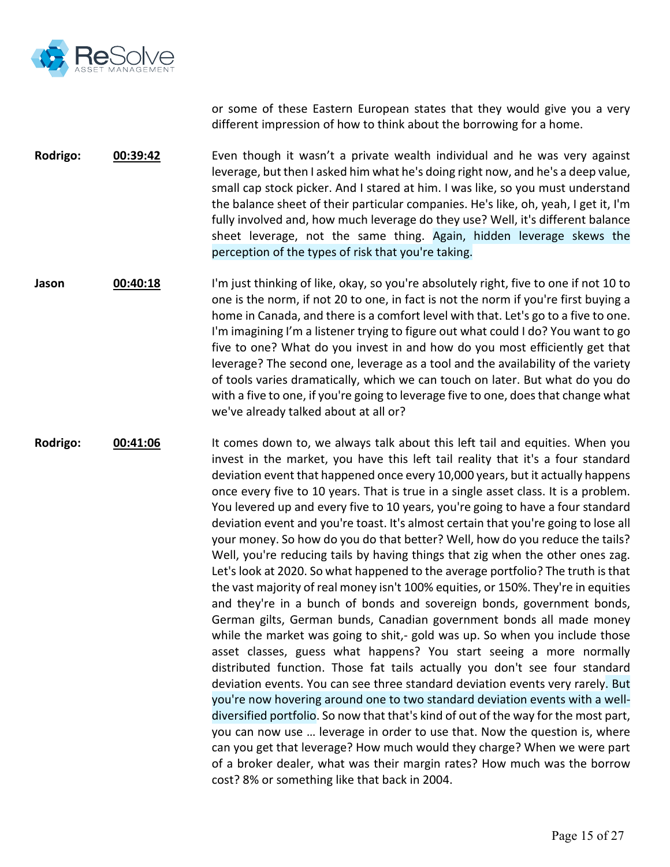

or some of these Eastern European states that they would give you a very different impression of how to think about the borrowing for a home.

**Rodrigo: 00:39:42** Even though it wasn't a private wealth individual and he was very against leverage, but then I asked him what he's doing right now, and he's a deep value, small cap stock picker. And I stared at him. I was like, so you must understand the balance sheet of their particular companies. He's like, oh, yeah, I get it, I'm fully involved and, how much leverage do they use? Well, it's different balance sheet leverage, not the same thing. Again, hidden leverage skews the perception of the types of risk that you're taking.

**Jason 00:40:18** I'm just thinking of like, okay, so you're absolutely right, five to one if not 10 to one is the norm, if not 20 to one, in fact is not the norm if you're first buying a home in Canada, and there is a comfort level with that. Let's go to a five to one. I'm imagining I'm a listener trying to figure out what could I do? You want to go five to one? What do you invest in and how do you most efficiently get that leverage? The second one, leverage as a tool and the availability of the variety of tools varies dramatically, which we can touch on later. But what do you do with a five to one, if you're going to leverage five to one, does that change what we've already talked about at all or?

**Rodrigo: 00:41:06** It comes down to, we always talk about this left tail and equities. When you invest in the market, you have this left tail reality that it's a four standard deviation event that happened once every 10,000 years, but it actually happens once every five to 10 years. That is true in a single asset class. It is a problem. You levered up and every five to 10 years, you're going to have a four standard deviation event and you're toast. It's almost certain that you're going to lose all your money. So how do you do that better? Well, how do you reduce the tails? Well, you're reducing tails by having things that zig when the other ones zag. Let's look at 2020. So what happened to the average portfolio? The truth is that the vast majority of real money isn't 100% equities, or 150%. They're in equities and they're in a bunch of bonds and sovereign bonds, government bonds, German gilts, German bunds, Canadian government bonds all made money while the market was going to shit,- gold was up. So when you include those asset classes, guess what happens? You start seeing a more normally distributed function. Those fat tails actually you don't see four standard deviation events. You can see three standard deviation events very rarely. But you're now hovering around one to two standard deviation events with a welldiversified portfolio. So now that that's kind of out of the way for the most part, you can now use … leverage in order to use that. Now the question is, where can you get that leverage? How much would they charge? When we were part of a broker dealer, what was their margin rates? How much was the borrow cost? 8% or something like that back in 2004.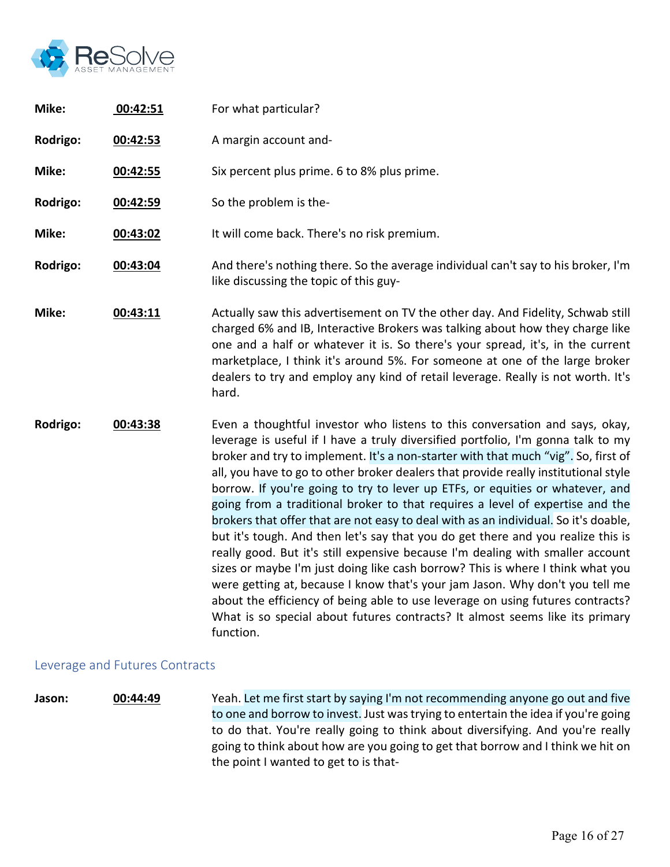

| Mike:    | 00:42:51 | For what particular?                                                                                                                                                                                                                                                                                                                                                                                                                                                                                                                                                                                                                                                                                                                                                                                                                                                                                                                                                                                                                                                                                                         |
|----------|----------|------------------------------------------------------------------------------------------------------------------------------------------------------------------------------------------------------------------------------------------------------------------------------------------------------------------------------------------------------------------------------------------------------------------------------------------------------------------------------------------------------------------------------------------------------------------------------------------------------------------------------------------------------------------------------------------------------------------------------------------------------------------------------------------------------------------------------------------------------------------------------------------------------------------------------------------------------------------------------------------------------------------------------------------------------------------------------------------------------------------------------|
| Rodrigo: | 00:42:53 | A margin account and-                                                                                                                                                                                                                                                                                                                                                                                                                                                                                                                                                                                                                                                                                                                                                                                                                                                                                                                                                                                                                                                                                                        |
| Mike:    | 00:42:55 | Six percent plus prime. 6 to 8% plus prime.                                                                                                                                                                                                                                                                                                                                                                                                                                                                                                                                                                                                                                                                                                                                                                                                                                                                                                                                                                                                                                                                                  |
| Rodrigo: | 00:42:59 | So the problem is the-                                                                                                                                                                                                                                                                                                                                                                                                                                                                                                                                                                                                                                                                                                                                                                                                                                                                                                                                                                                                                                                                                                       |
| Mike:    | 00:43:02 | It will come back. There's no risk premium.                                                                                                                                                                                                                                                                                                                                                                                                                                                                                                                                                                                                                                                                                                                                                                                                                                                                                                                                                                                                                                                                                  |
| Rodrigo: | 00:43:04 | And there's nothing there. So the average individual can't say to his broker, I'm<br>like discussing the topic of this guy-                                                                                                                                                                                                                                                                                                                                                                                                                                                                                                                                                                                                                                                                                                                                                                                                                                                                                                                                                                                                  |
| Mike:    | 00:43:11 | Actually saw this advertisement on TV the other day. And Fidelity, Schwab still<br>charged 6% and IB, Interactive Brokers was talking about how they charge like<br>one and a half or whatever it is. So there's your spread, it's, in the current<br>marketplace, I think it's around 5%. For someone at one of the large broker<br>dealers to try and employ any kind of retail leverage. Really is not worth. It's<br>hard.                                                                                                                                                                                                                                                                                                                                                                                                                                                                                                                                                                                                                                                                                               |
| Rodrigo: | 00:43:38 | Even a thoughtful investor who listens to this conversation and says, okay,<br>leverage is useful if I have a truly diversified portfolio, I'm gonna talk to my<br>broker and try to implement. It's a non-starter with that much "vig". So, first of<br>all, you have to go to other broker dealers that provide really institutional style<br>borrow. If you're going to try to lever up ETFs, or equities or whatever, and<br>going from a traditional broker to that requires a level of expertise and the<br>brokers that offer that are not easy to deal with as an individual. So it's doable,<br>but it's tough. And then let's say that you do get there and you realize this is<br>really good. But it's still expensive because I'm dealing with smaller account<br>sizes or maybe I'm just doing like cash borrow? This is where I think what you<br>were getting at, because I know that's your jam Jason. Why don't you tell me<br>about the efficiency of being able to use leverage on using futures contracts?<br>What is so special about futures contracts? It almost seems like its primary<br>function. |

# Leverage and Futures Contracts

**Jason: 00:44:49** Yeah. Let me first start by saying I'm not recommending anyone go out and five to one and borrow to invest. Just was trying to entertain the idea if you're going to do that. You're really going to think about diversifying. And you're really going to think about how are you going to get that borrow and I think we hit on the point I wanted to get to is that-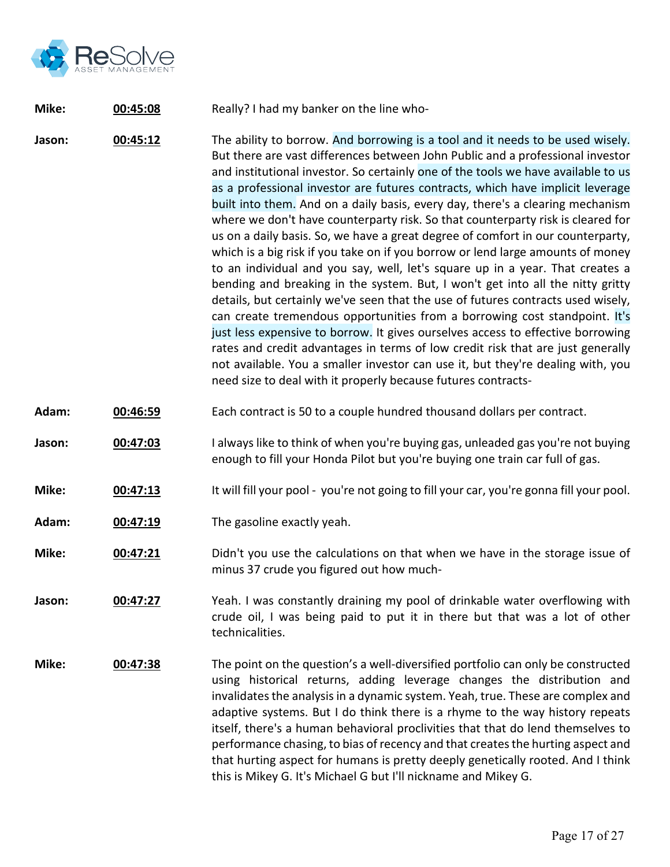

#### **Mike: 00:45:08** Really? I had my banker on the line who-

**Jason: 00:45:12** The ability to borrow. And borrowing is a tool and it needs to be used wisely. But there are vast differences between John Public and a professional investor and institutional investor. So certainly one of the tools we have available to us as a professional investor are futures contracts, which have implicit leverage built into them. And on a daily basis, every day, there's a clearing mechanism where we don't have counterparty risk. So that counterparty risk is cleared for us on a daily basis. So, we have a great degree of comfort in our counterparty, which is a big risk if you take on if you borrow or lend large amounts of money to an individual and you say, well, let's square up in a year. That creates a bending and breaking in the system. But, I won't get into all the nitty gritty details, but certainly we've seen that the use of futures contracts used wisely, can create tremendous opportunities from a borrowing cost standpoint. It's just less expensive to borrow. It gives ourselves access to effective borrowing rates and credit advantages in terms of low credit risk that are just generally not available. You a smaller investor can use it, but they're dealing with, you need size to deal with it properly because futures contracts-

- **Adam: 00:46:59** Each contract is 50 to a couple hundred thousand dollars per contract.
- **Jason: 00:47:03** I always like to think of when you're buying gas, unleaded gas you're not buying enough to fill your Honda Pilot but you're buying one train car full of gas.
- **Mike: 00:47:13** It will fill your pool you're not going to fill your car, you're gonna fill your pool.
- **Adam: 00:47:19** The gasoline exactly yeah.
- **Mike: 00:47:21** Didn't you use the calculations on that when we have in the storage issue of minus 37 crude you figured out how much-
- **Jason: 00:47:27** Yeah. I was constantly draining my pool of drinkable water overflowing with crude oil, I was being paid to put it in there but that was a lot of other technicalities.
- **Mike: 00:47:38** The point on the question's a well-diversified portfolio can only be constructed using historical returns, adding leverage changes the distribution and invalidates the analysis in a dynamic system. Yeah, true. These are complex and adaptive systems. But I do think there is a rhyme to the way history repeats itself, there's a human behavioral proclivities that that do lend themselves to performance chasing, to bias of recency and that creates the hurting aspect and that hurting aspect for humans is pretty deeply genetically rooted. And I think this is Mikey G. It's Michael G but I'll nickname and Mikey G.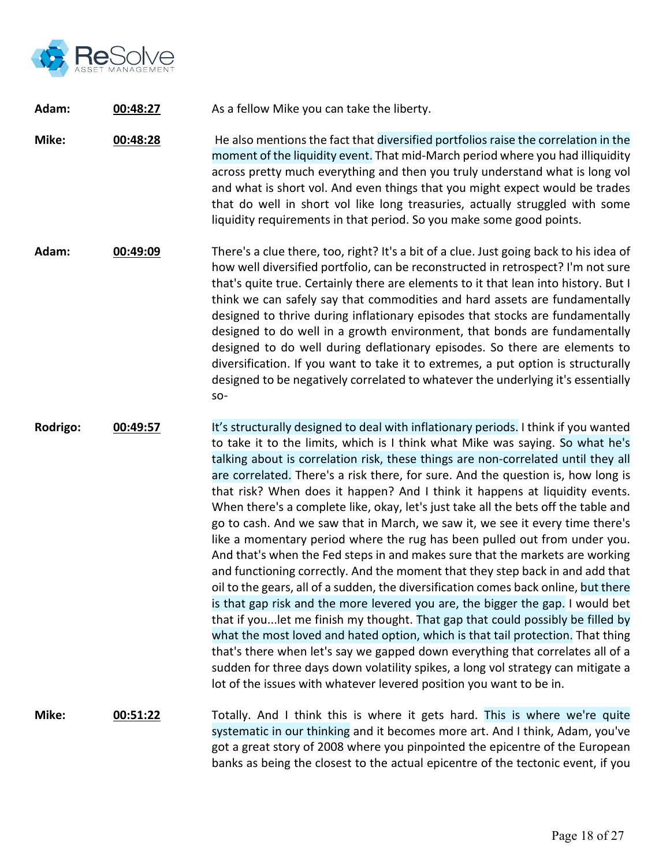

**Adam: 00:48:27** As a fellow Mike you can take the liberty.

**Mike: 00:48:28** He also mentions the fact that diversified portfolios raise the correlation in the moment of the liquidity event. That mid-March period where you had illiquidity across pretty much everything and then you truly understand what is long vol and what is short vol. And even things that you might expect would be trades that do well in short vol like long treasuries, actually struggled with some liquidity requirements in that period. So you make some good points.

- **Adam: 00:49:09** There's a clue there, too, right? It's a bit of a clue. Just going back to his idea of how well diversified portfolio, can be reconstructed in retrospect? I'm not sure that's quite true. Certainly there are elements to it that lean into history. But I think we can safely say that commodities and hard assets are fundamentally designed to thrive during inflationary episodes that stocks are fundamentally designed to do well in a growth environment, that bonds are fundamentally designed to do well during deflationary episodes. So there are elements to diversification. If you want to take it to extremes, a put option is structurally designed to be negatively correlated to whatever the underlying it's essentially so-
- **Rodrigo: 00:49:57** It's structurally designed to deal with inflationary periods. I think if you wanted to take it to the limits, which is I think what Mike was saying. So what he's talking about is correlation risk, these things are non-correlated until they all are correlated. There's a risk there, for sure. And the question is, how long is that risk? When does it happen? And I think it happens at liquidity events. When there's a complete like, okay, let's just take all the bets off the table and go to cash. And we saw that in March, we saw it, we see it every time there's like a momentary period where the rug has been pulled out from under you. And that's when the Fed steps in and makes sure that the markets are working and functioning correctly. And the moment that they step back in and add that oil to the gears, all of a sudden, the diversification comes back online, but there is that gap risk and the more levered you are, the bigger the gap. I would bet that if you...let me finish my thought. That gap that could possibly be filled by what the most loved and hated option, which is that tail protection. That thing that's there when let's say we gapped down everything that correlates all of a sudden for three days down volatility spikes, a long vol strategy can mitigate a lot of the issues with whatever levered position you want to be in.
- **Mike: 00:51:22** Totally. And I think this is where it gets hard. This is where we're quite systematic in our thinking and it becomes more art. And I think, Adam, you've got a great story of 2008 where you pinpointed the epicentre of the European banks as being the closest to the actual epicentre of the tectonic event, if you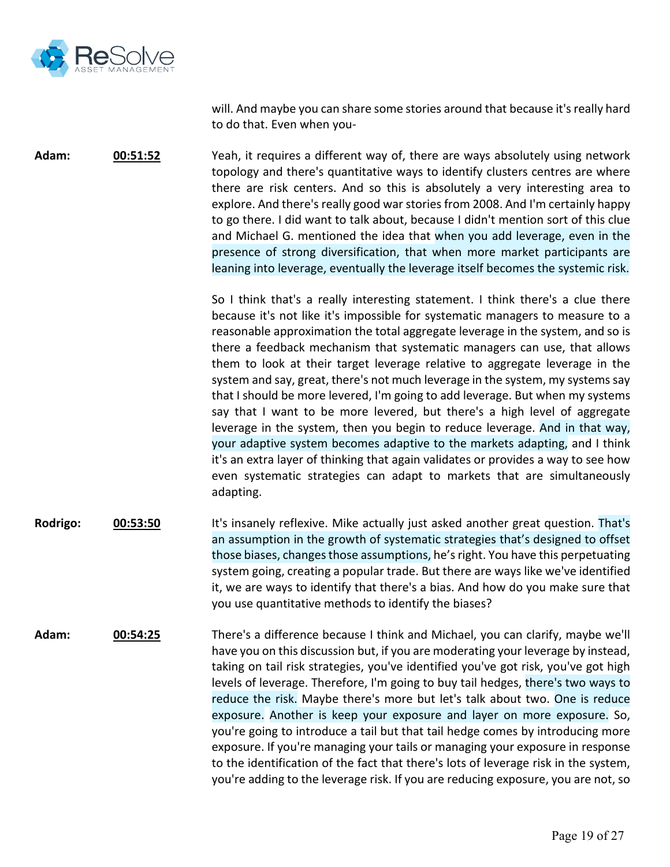

will. And maybe you can share some stories around that because it's really hard to do that. Even when you-

**Adam: 00:51:52** Yeah, it requires a different way of, there are ways absolutely using network topology and there's quantitative ways to identify clusters centres are where there are risk centers. And so this is absolutely a very interesting area to explore. And there's really good war stories from 2008. And I'm certainly happy to go there. I did want to talk about, because I didn't mention sort of this clue and Michael G. mentioned the idea that when you add leverage, even in the presence of strong diversification, that when more market participants are leaning into leverage, eventually the leverage itself becomes the systemic risk.

> So I think that's a really interesting statement. I think there's a clue there because it's not like it's impossible for systematic managers to measure to a reasonable approximation the total aggregate leverage in the system, and so is there a feedback mechanism that systematic managers can use, that allows them to look at their target leverage relative to aggregate leverage in the system and say, great, there's not much leverage in the system, my systems say that I should be more levered, I'm going to add leverage. But when my systems say that I want to be more levered, but there's a high level of aggregate leverage in the system, then you begin to reduce leverage. And in that way, your adaptive system becomes adaptive to the markets adapting, and I think it's an extra layer of thinking that again validates or provides a way to see how even systematic strategies can adapt to markets that are simultaneously adapting.

- **Rodrigo: 00:53:50** It's insanely reflexive. Mike actually just asked another great question. That's an assumption in the growth of systematic strategies that's designed to offset those biases, changes those assumptions, he's right. You have this perpetuating system going, creating a popular trade. But there are ways like we've identified it, we are ways to identify that there's a bias. And how do you make sure that you use quantitative methods to identify the biases?
- **Adam: 00:54:25** There's a difference because I think and Michael, you can clarify, maybe we'll have you on this discussion but, if you are moderating your leverage by instead, taking on tail risk strategies, you've identified you've got risk, you've got high levels of leverage. Therefore, I'm going to buy tail hedges, there's two ways to reduce the risk. Maybe there's more but let's talk about two. One is reduce exposure. Another is keep your exposure and layer on more exposure. So, you're going to introduce a tail but that tail hedge comes by introducing more exposure. If you're managing your tails or managing your exposure in response to the identification of the fact that there's lots of leverage risk in the system, you're adding to the leverage risk. If you are reducing exposure, you are not, so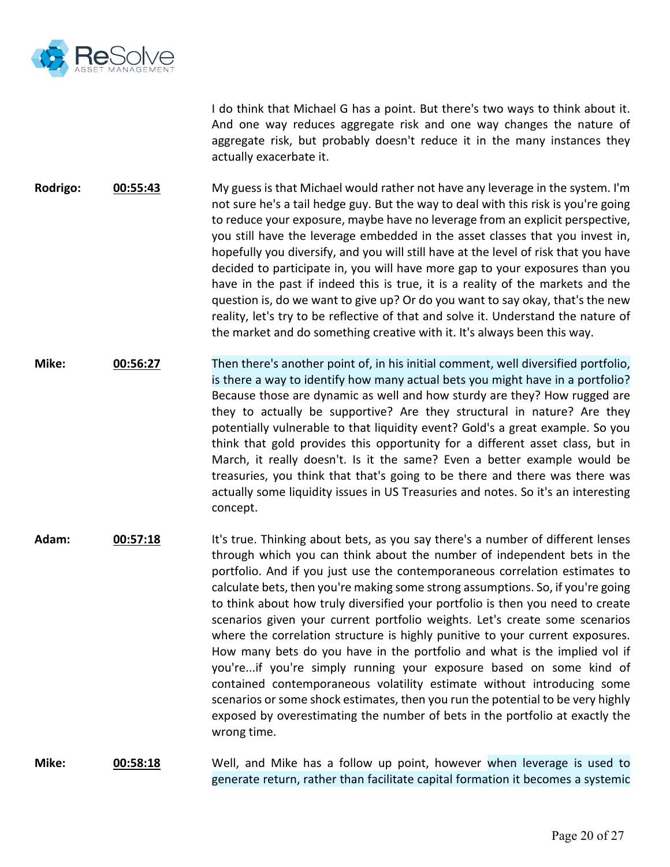

I do think that Michael G has a point. But there's two ways to think about it. And one way reduces aggregate risk and one way changes the nature of aggregate risk, but probably doesn't reduce it in the many instances they actually exacerbate it.

**Rodrigo: 00:55:43** My guess is that Michael would rather not have any leverage in the system. I'm not sure he's a tail hedge guy. But the way to deal with this risk is you're going to reduce your exposure, maybe have no leverage from an explicit perspective, you still have the leverage embedded in the asset classes that you invest in, hopefully you diversify, and you will still have at the level of risk that you have decided to participate in, you will have more gap to your exposures than you have in the past if indeed this is true, it is a reality of the markets and the question is, do we want to give up? Or do you want to say okay, that's the new reality, let's try to be reflective of that and solve it. Understand the nature of the market and do something creative with it. It's always been this way.

**Mike: 00:56:27** Then there's another point of, in his initial comment, well diversified portfolio, is there a way to identify how many actual bets you might have in a portfolio? Because those are dynamic as well and how sturdy are they? How rugged are they to actually be supportive? Are they structural in nature? Are they potentially vulnerable to that liquidity event? Gold's a great example. So you think that gold provides this opportunity for a different asset class, but in March, it really doesn't. Is it the same? Even a better example would be treasuries, you think that that's going to be there and there was there was actually some liquidity issues in US Treasuries and notes. So it's an interesting concept.

**Adam: 00:57:18** It's true. Thinking about bets, as you say there's a number of different lenses through which you can think about the number of independent bets in the portfolio. And if you just use the contemporaneous correlation estimates to calculate bets, then you're making some strong assumptions. So, if you're going to think about how truly diversified your portfolio is then you need to create scenarios given your current portfolio weights. Let's create some scenarios where the correlation structure is highly punitive to your current exposures. How many bets do you have in the portfolio and what is the implied vol if you're...if you're simply running your exposure based on some kind of contained contemporaneous volatility estimate without introducing some scenarios or some shock estimates, then you run the potential to be very highly exposed by overestimating the number of bets in the portfolio at exactly the wrong time.

**Mike: 00:58:18** Well, and Mike has a follow up point, however when leverage is used to generate return, rather than facilitate capital formation it becomes a systemic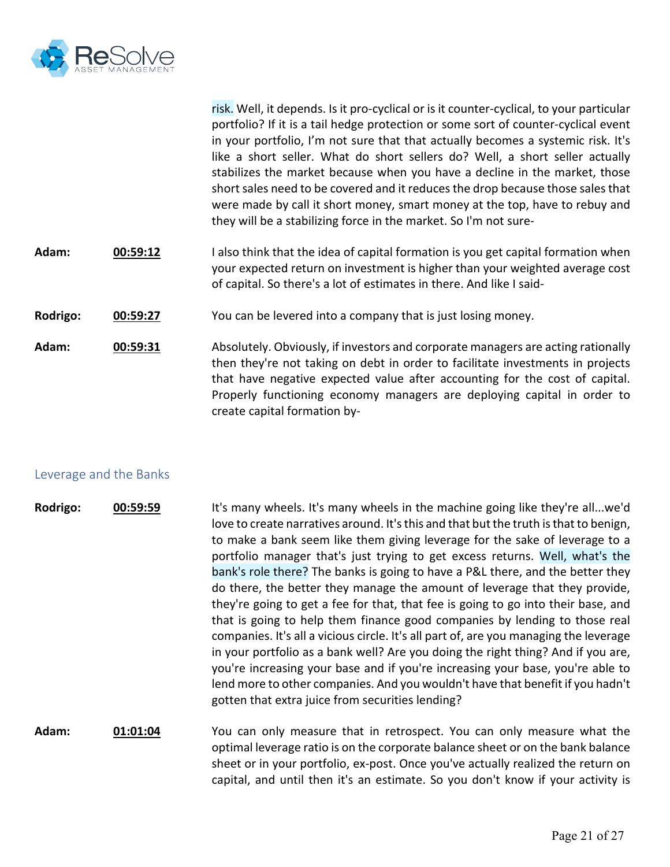

risk. Well, it depends. Is it pro-cyclical or is it counter-cyclical, to your particular portfolio? If it is a tail hedge protection or some sort of counter-cyclical event in your portfolio, I'm not sure that that actually becomes a systemic risk. It's like a short seller. What do short sellers do? Well, a short seller actually stabilizes the market because when you have a decline in the market, those short sales need to be covered and it reduces the drop because those sales that were made by call it short money, smart money at the top, have to rebuy and they will be a stabilizing force in the market. So I'm not sure-

- **Adam: 00:59:12** I also think that the idea of capital formation is you get capital formation when your expected return on investment is higher than your weighted average cost of capital. So there's a lot of estimates in there. And like I said-
- **Rodrigo: 00:59:27** You can be levered into a company that is just losing money.
- **Adam: 00:59:31** Absolutely. Obviously, if investors and corporate managers are acting rationally then they're not taking on debt in order to facilitate investments in projects that have negative expected value after accounting for the cost of capital. Properly functioning economy managers are deploying capital in order to create capital formation by-

#### Leverage and the Banks

- **Rodrigo: 00:59:59** It's many wheels. It's many wheels in the machine going like they're all...we'd love to create narratives around. It's this and that but the truth is that to benign, to make a bank seem like them giving leverage for the sake of leverage to a portfolio manager that's just trying to get excess returns. Well, what's the bank's role there? The banks is going to have a P&L there, and the better they do there, the better they manage the amount of leverage that they provide, they're going to get a fee for that, that fee is going to go into their base, and that is going to help them finance good companies by lending to those real companies. It's all a vicious circle. It's all part of, are you managing the leverage in your portfolio as a bank well? Are you doing the right thing? And if you are, you're increasing your base and if you're increasing your base, you're able to lend more to other companies. And you wouldn't have that benefit if you hadn't gotten that extra juice from securities lending?
- **Adam: 01:01:04** You can only measure that in retrospect. You can only measure what the optimal leverage ratio is on the corporate balance sheet or on the bank balance sheet or in your portfolio, ex-post. Once you've actually realized the return on capital, and until then it's an estimate. So you don't know if your activity is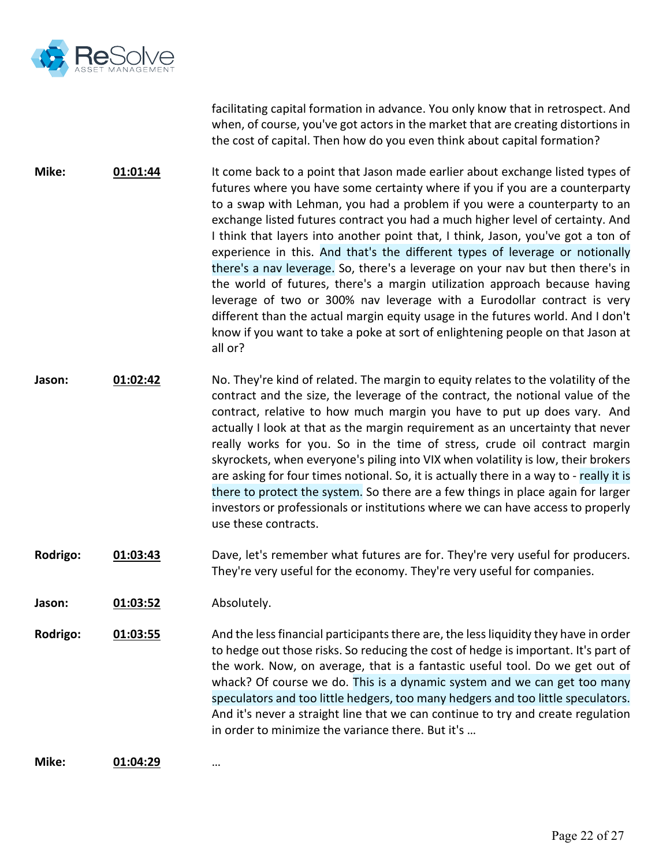

facilitating capital formation in advance. You only know that in retrospect. And when, of course, you've got actors in the market that are creating distortions in the cost of capital. Then how do you even think about capital formation?

**Mike: 01:01:44** It come back to a point that Jason made earlier about exchange listed types of futures where you have some certainty where if you if you are a counterparty to a swap with Lehman, you had a problem if you were a counterparty to an exchange listed futures contract you had a much higher level of certainty. And I think that layers into another point that, I think, Jason, you've got a ton of experience in this. And that's the different types of leverage or notionally there's a nav leverage. So, there's a leverage on your nav but then there's in the world of futures, there's a margin utilization approach because having leverage of two or 300% nav leverage with a Eurodollar contract is very different than the actual margin equity usage in the futures world. And I don't know if you want to take a poke at sort of enlightening people on that Jason at all or?

- **Jason: 01:02:42** No. They're kind of related. The margin to equity relates to the volatility of the contract and the size, the leverage of the contract, the notional value of the contract, relative to how much margin you have to put up does vary. And actually I look at that as the margin requirement as an uncertainty that never really works for you. So in the time of stress, crude oil contract margin skyrockets, when everyone's piling into VIX when volatility is low, their brokers are asking for four times notional. So, it is actually there in a way to - really it is there to protect the system. So there are a few things in place again for larger investors or professionals or institutions where we can have access to properly use these contracts.
- **Rodrigo: 01:03:43** Dave, let's remember what futures are for. They're very useful for producers. They're very useful for the economy. They're very useful for companies.
- **Jason: 01:03:52** Absolutely.

**Rodrigo: 01:03:55** And the lessfinancial participants there are, the less liquidity they have in order to hedge out those risks. So reducing the cost of hedge is important. It's part of the work. Now, on average, that is a fantastic useful tool. Do we get out of whack? Of course we do. This is a dynamic system and we can get too many speculators and too little hedgers, too many hedgers and too little speculators. And it's never a straight line that we can continue to try and create regulation in order to minimize the variance there. But it's …

**Mike: 01:04:29** …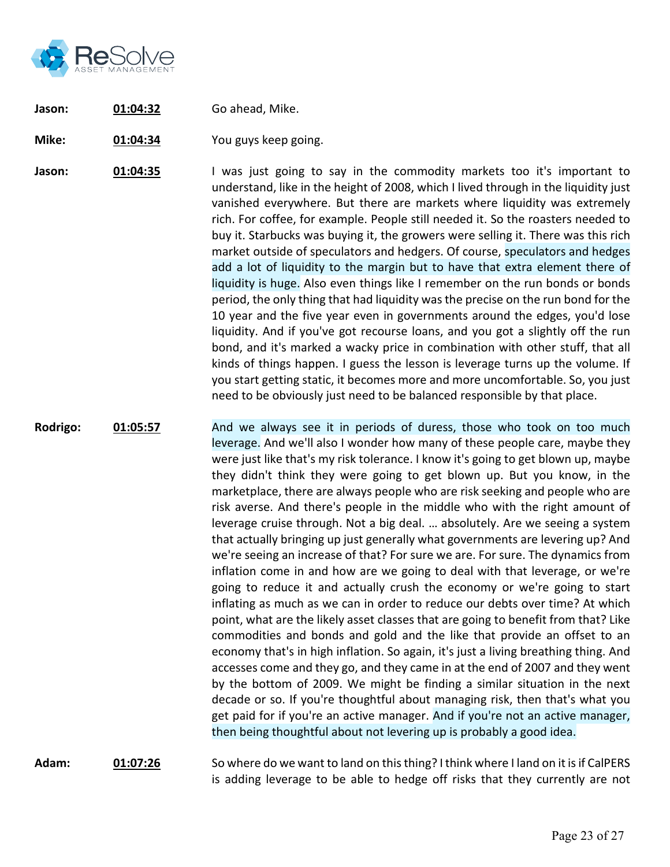

- **Jason: 01:04:32** Go ahead, Mike.
- **Mike: 01:04:34** You guys keep going.

**Jason: 01:04:35** I was just going to say in the commodity markets too it's important to understand, like in the height of 2008, which I lived through in the liquidity just vanished everywhere. But there are markets where liquidity was extremely rich. For coffee, for example. People still needed it. So the roasters needed to buy it. Starbucks was buying it, the growers were selling it. There was this rich market outside of speculators and hedgers. Of course, speculators and hedges add a lot of liquidity to the margin but to have that extra element there of liquidity is huge. Also even things like I remember on the run bonds or bonds period, the only thing that had liquidity was the precise on the run bond for the 10 year and the five year even in governments around the edges, you'd lose liquidity. And if you've got recourse loans, and you got a slightly off the run bond, and it's marked a wacky price in combination with other stuff, that all kinds of things happen. I guess the lesson is leverage turns up the volume. If you start getting static, it becomes more and more uncomfortable. So, you just need to be obviously just need to be balanced responsible by that place.

**Rodrigo: 01:05:57** And we always see it in periods of duress, those who took on too much leverage. And we'll also I wonder how many of these people care, maybe they were just like that's my risk tolerance. I know it's going to get blown up, maybe they didn't think they were going to get blown up. But you know, in the marketplace, there are always people who are risk seeking and people who are risk averse. And there's people in the middle who with the right amount of leverage cruise through. Not a big deal. … absolutely. Are we seeing a system that actually bringing up just generally what governments are levering up? And we're seeing an increase of that? For sure we are. For sure. The dynamics from inflation come in and how are we going to deal with that leverage, or we're going to reduce it and actually crush the economy or we're going to start inflating as much as we can in order to reduce our debts over time? At which point, what are the likely asset classes that are going to benefit from that? Like commodities and bonds and gold and the like that provide an offset to an economy that's in high inflation. So again, it's just a living breathing thing. And accesses come and they go, and they came in at the end of 2007 and they went by the bottom of 2009. We might be finding a similar situation in the next decade or so. If you're thoughtful about managing risk, then that's what you get paid for if you're an active manager. And if you're not an active manager, then being thoughtful about not levering up is probably a good idea.

**Adam: 01:07:26** So where do we want to land on this thing? I think where I land on it is if CalPERS is adding leverage to be able to hedge off risks that they currently are not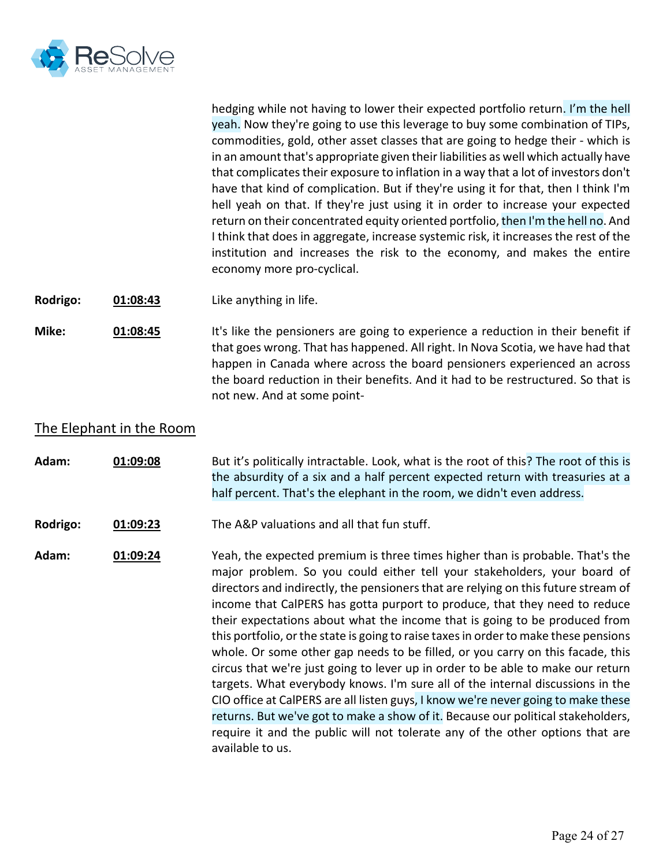

hedging while not having to lower their expected portfolio return. I'm the hell yeah. Now they're going to use this leverage to buy some combination of TIPs, commodities, gold, other asset classes that are going to hedge their - which is in an amount that's appropriate given their liabilities as well which actually have that complicates their exposure to inflation in a way that a lot of investors don't have that kind of complication. But if they're using it for that, then I think I'm hell yeah on that. If they're just using it in order to increase your expected return on their concentrated equity oriented portfolio, then I'm the hell no. And I think that does in aggregate, increase systemic risk, it increases the rest of the institution and increases the risk to the economy, and makes the entire economy more pro-cyclical.

**Rodrigo: 01:08:43** Like anything in life.

**Mike: 01:08:45** It's like the pensioners are going to experience a reduction in their benefit if that goes wrong. That has happened. All right. In Nova Scotia, we have had that happen in Canada where across the board pensioners experienced an across the board reduction in their benefits. And it had to be restructured. So that is not new. And at some point-

# The Elephant in the Room

**Adam: 01:09:08** But it's politically intractable. Look, what is the root of this? The root of this is the absurdity of a six and a half percent expected return with treasuries at a half percent. That's the elephant in the room, we didn't even address.

**Rodrigo: 01:09:23** The A&P valuations and all that fun stuff.

**Adam: 01:09:24** Yeah, the expected premium is three times higher than is probable. That's the major problem. So you could either tell your stakeholders, your board of directors and indirectly, the pensioners that are relying on this future stream of income that CalPERS has gotta purport to produce, that they need to reduce their expectations about what the income that is going to be produced from this portfolio, or the state is going to raise taxes in order to make these pensions whole. Or some other gap needs to be filled, or you carry on this facade, this circus that we're just going to lever up in order to be able to make our return targets. What everybody knows. I'm sure all of the internal discussions in the CIO office at CalPERS are all listen guys, I know we're never going to make these returns. But we've got to make a show of it. Because our political stakeholders, require it and the public will not tolerate any of the other options that are available to us.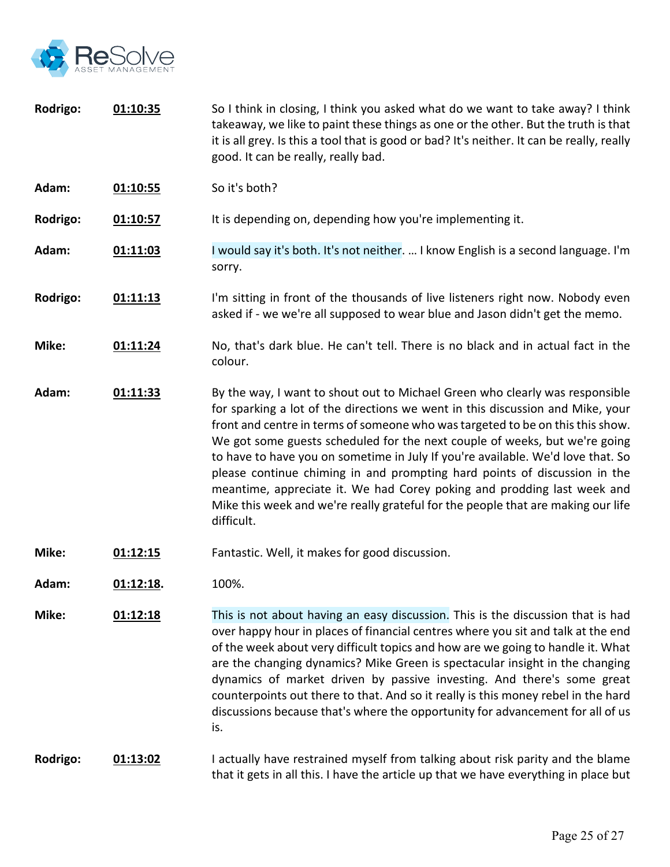

- **Rodrigo: 01:10:35** So I think in closing, I think you asked what do we want to take away? I think takeaway, we like to paint these things as one or the other. But the truth is that it is all grey. Is this a tool that is good or bad? It's neither. It can be really, really good. It can be really, really bad.
- **Adam: 01:10:55** So it's both?
- **Rodrigo: 01:10:57** It is depending on, depending how you're implementing it.
- **Adam: 01:11:03** I would say it's both. It's not neither. … I know English is a second language. I'm sorry.
- **Rodrigo: 01:11:13** I'm sitting in front of the thousands of live listeners right now. Nobody even asked if - we we're all supposed to wear blue and Jason didn't get the memo.
- **Mike: 01:11:24** No, that's dark blue. He can't tell. There is no black and in actual fact in the colour.
- **Adam: 01:11:33** By the way, I want to shout out to Michael Green who clearly was responsible for sparking a lot of the directions we went in this discussion and Mike, your front and centre in terms of someone who was targeted to be on this this show. We got some guests scheduled for the next couple of weeks, but we're going to have to have you on sometime in July If you're available. We'd love that. So please continue chiming in and prompting hard points of discussion in the meantime, appreciate it. We had Corey poking and prodding last week and Mike this week and we're really grateful for the people that are making our life difficult.
- **Mike: 01:12:15** Fantastic. Well, it makes for good discussion.
- **Adam: 01:12:18.** 100%.
- **Mike: 01:12:18** This is not about having an easy discussion. This is the discussion that is had over happy hour in places of financial centres where you sit and talk at the end of the week about very difficult topics and how are we going to handle it. What are the changing dynamics? Mike Green is spectacular insight in the changing dynamics of market driven by passive investing. And there's some great counterpoints out there to that. And so it really is this money rebel in the hard discussions because that's where the opportunity for advancement for all of us is.

## **Rodrigo: 01:13:02** I actually have restrained myself from talking about risk parity and the blame that it gets in all this. I have the article up that we have everything in place but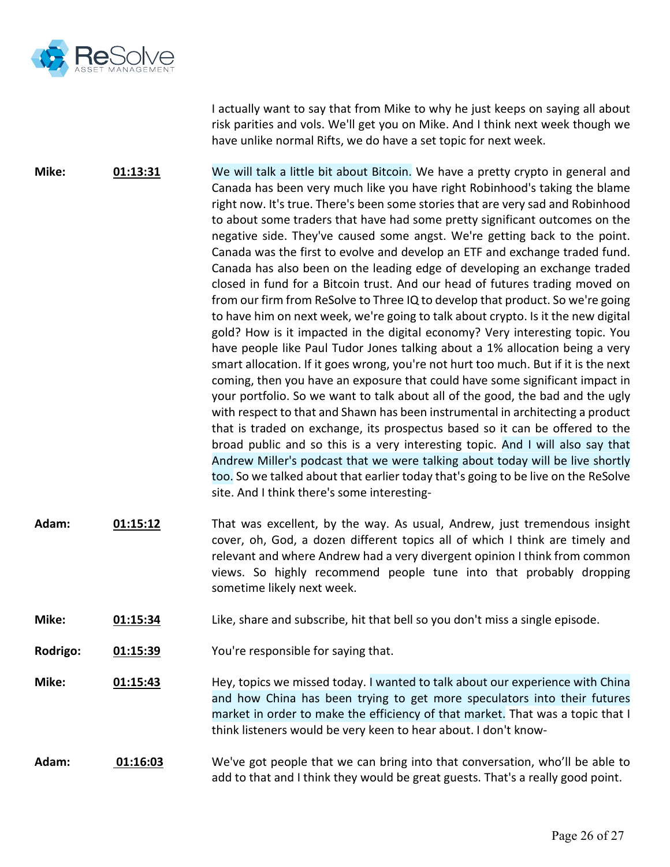

I actually want to say that from Mike to why he just keeps on saying all about risk parities and vols. We'll get you on Mike. And I think next week though we have unlike normal Rifts, we do have a set topic for next week.

**Mike: 01:13:31** We will talk a little bit about Bitcoin. We have a pretty crypto in general and Canada has been very much like you have right Robinhood's taking the blame right now. It's true. There's been some stories that are very sad and Robinhood to about some traders that have had some pretty significant outcomes on the negative side. They've caused some angst. We're getting back to the point. Canada was the first to evolve and develop an ETF and exchange traded fund. Canada has also been on the leading edge of developing an exchange traded closed in fund for a Bitcoin trust. And our head of futures trading moved on from our firm from ReSolve to Three IQ to develop that product. So we're going to have him on next week, we're going to talk about crypto. Is it the new digital gold? How is it impacted in the digital economy? Very interesting topic. You have people like Paul Tudor Jones talking about a 1% allocation being a very smart allocation. If it goes wrong, you're not hurt too much. But if it is the next coming, then you have an exposure that could have some significant impact in your portfolio. So we want to talk about all of the good, the bad and the ugly with respect to that and Shawn has been instrumental in architecting a product that is traded on exchange, its prospectus based so it can be offered to the broad public and so this is a very interesting topic. And I will also say that Andrew Miller's podcast that we were talking about today will be live shortly too. So we talked about that earlier today that's going to be live on the ReSolve site. And I think there's some interesting-

- **Adam: 01:15:12** That was excellent, by the way. As usual, Andrew, just tremendous insight cover, oh, God, a dozen different topics all of which I think are timely and relevant and where Andrew had a very divergent opinion I think from common views. So highly recommend people tune into that probably dropping sometime likely next week.
- **Mike: 01:15:34** Like, share and subscribe, hit that bell so you don't miss a single episode.
- **Rodrigo: 01:15:39** You're responsible for saying that.
- **Mike: 01:15:43** Hey, topics we missed today. I wanted to talk about our experience with China and how China has been trying to get more speculators into their futures market in order to make the efficiency of that market. That was a topic that I think listeners would be very keen to hear about. I don't know-

### **Adam: 01:16:03** We've got people that we can bring into that conversation, who'll be able to add to that and I think they would be great guests. That's a really good point.